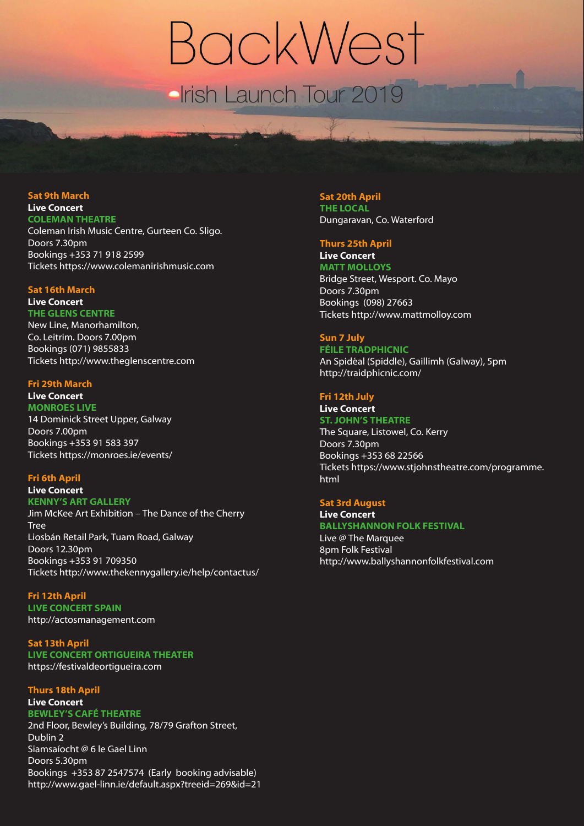# BackWest Irish Launch Tour 2019

## **Sat 9th March Live Concert**

**COLEMAN THEATRE** Coleman Irish Music Centre, Gurteen Co. Sligo. Doors 7.30pm Bookings +353 71 918 2599 Tickets https://www.colemanirishmusic.com

#### **Sat 16th March**

# **Live Concert**

**THE GLENS CENTRE** New Line, Manorhamilton, Co. Leitrim. Doors 7.00pm Bookings (071) 9855833 Tickets http://www.theglenscentre.com

#### **Fri 29th March**

**Live Concert MONROES LIVE** 14 Dominick Street Upper, Galway Doors 7.00pm Bookings +353 91 583 397 Tickets https://monroes.ie/events/

# **Fri 6th April**

#### **Live Concert KENNY'S ART GALLERY**

Jim McKee Art Exhibition – The Dance of the Cherry Tree Liosbán Retail Park, Tuam Road, Galway Doors 12.30pm Bookings +353 91 709350 Tickets http://www.thekennygallery.ie/help/contactus/

#### **Fri 12th April LIVE CONCERT SPAIN**

http://actosmanagement.com

**Sat 13th April LIVE CONCERT ORTIGUEIRA THEATER**  https://festivaldeortigueira.com

#### **Thurs 18th April Live Concert**

# **BEWLEY'S CAFÉ THEATRE**

2nd Floor, Bewley's Building, 78/79 Grafton Street, Dublin 2 Siamsaíocht @ 6 le Gael Linn Doors 5.30pm Bookings +353 87 2547574 (Early booking advisable) http://www.gael-linn.ie/default.aspx?treeid=269&id=21

# **Sat 20th April**

**THE LOCAL** Dungaravan, Co. Waterford

# **Thurs 25th April**

**Live Concert MATT MOLLOYS** 

Bridge Street, Wesport. Co. Mayo Doors 7.30pm Bookings (098) 27663 Tickets http://www.mattmolloy.com

## **Sun 7 July**

#### **FÉILE TRADPHICNIC**

An Spidéal (Spiddle), Gaillimh (Galway), 5pm http://traidphicnic.com/

# **Fri 12th July**

#### **Live Concert ST. JOHN'S THEATRE**

The Square, Listowel, Co. Kerry Doors 7.30pm Bookings +353 68 22566 Tickets https://www.stjohnstheatre.com/programme. html

#### **Sat 3rd August Live Concert**

**BALLYSHANNON FOLK FESTIVAL** Live @ The Marquee 8pm Folk Festival http://www.ballyshannonfolkfestival.com